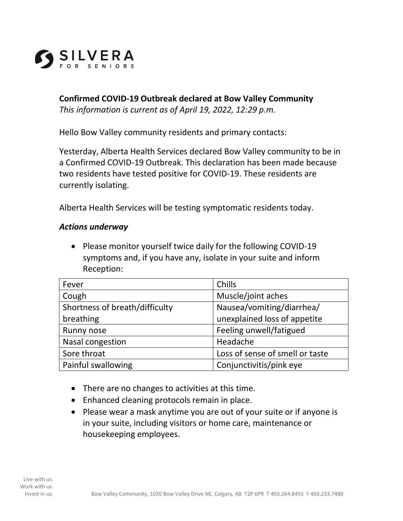

**Confirmed COVID-19 Outbreak declared at Bow Valley Community**  *This information is current as of April 19, 2022, 12:29 p.m.*

Hello Bow Valley community residents and primary contacts:

Yesterday, Alberta Health Services declared Bow Valley community to be in a Confirmed COVID-19 Outbreak. This declaration has been made because two residents have tested positive for COVID-19. These residents are currently isolating.

Alberta Health Services will be testing symptomatic residents today.

## *Actions underway*

• Please monitor yourself twice daily for the following COVID-19 symptoms and, if you have any, isolate in your suite and inform Reception:

| Fever                          | Chills                          |
|--------------------------------|---------------------------------|
| Cough                          | Muscle/joint aches              |
| Shortness of breath/difficulty | Nausea/vomiting/diarrhea/       |
| breathing                      | unexplained loss of appetite    |
| Runny nose                     | Feeling unwell/fatigued         |
| Nasal congestion               | Headache                        |
| Sore throat                    | Loss of sense of smell or taste |
| Painful swallowing             | Conjunctivitis/pink eye         |

- There are no changes to activities at this time.
- Enhanced cleaning protocols remain in place.
- Please wear a mask anytime you are out of your suite or if anyone is in your suite, including visitors or home care, maintenance or housekeeping employees.